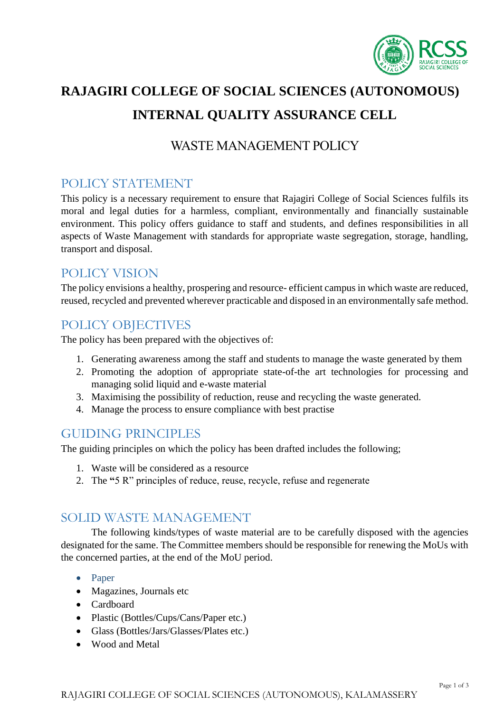

# **RAJAGIRI COLLEGE OF SOCIAL SCIENCES (AUTONOMOUS) INTERNAL QUALITY ASSURANCE CELL**

#### WASTE MANAGEMENT POLICY

## POLICY STATEMENT

This policy is a necessary requirement to ensure that Rajagiri College of Social Sciences fulfils its moral and legal duties for a harmless, compliant, environmentally and financially sustainable environment. This policy offers guidance to staff and students, and defines responsibilities in all aspects of Waste Management with standards for appropriate waste segregation, storage, handling, transport and disposal.

#### POLICY VISION

The policy envisions a healthy, prospering and resource- efficient campus in which waste are reduced, reused, recycled and prevented wherever practicable and disposed in an environmentally safe method.

## POLICY OBJECTIVES

The policy has been prepared with the objectives of:

- 1. Generating awareness among the staff and students to manage the waste generated by them
- 2. Promoting the adoption of appropriate state-of-the art technologies for processing and managing solid liquid and e-waste material
- 3. Maximising the possibility of reduction, reuse and recycling the waste generated.
- 4. Manage the process to ensure compliance with best practise

#### GUIDING PRINCIPLES

The guiding principles on which the policy has been drafted includes the following;

- 1. Waste will be considered as a resource
- 2. The **"**5 R" principles of reduce, reuse, recycle, refuse and regenerate

## SOLID WASTE MANAGEMENT

The following kinds/types of waste material are to be carefully disposed with the agencies designated for the same. The Committee members should be responsible for renewing the MoUs with the concerned parties, at the end of the MoU period.

- Paper
- Magazines, Journals etc
- Cardboard
- Plastic (Bottles/Cups/Cans/Paper etc.)
- Glass (Bottles/Jars/Glasses/Plates etc.)
- Wood and Metal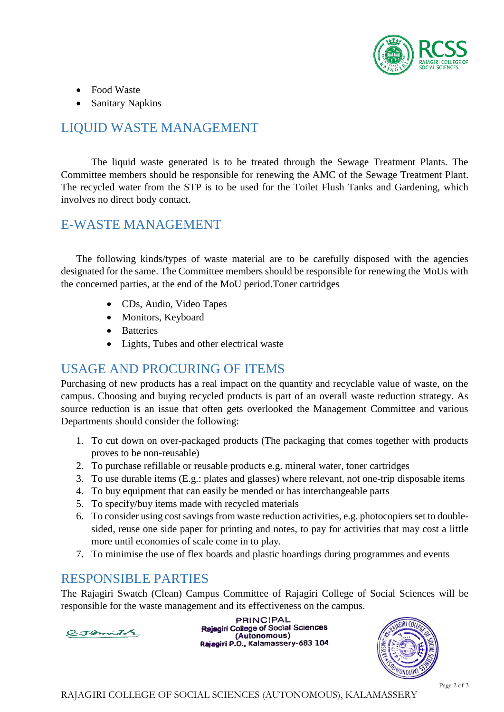

- Food Waste
- Sanitary Napkins

## LIQUID WASTE MANAGEMENT

The liquid waste generated is to be treated through the Sewage Treatment Plants. The Committee members should be responsible for renewing the AMC of the Sewage Treatment Plant. The recycled water from the STP is to be used for the Toilet Flush Tanks and Gardening, which involves no direct body contact.

#### E-WASTE MANAGEMENT

The following kinds/types of waste material are to be carefully disposed with the agencies designated for the same. The Committee members should be responsible for renewing the MoUs with the concerned parties, at the end of the MoU period.Toner cartridges

- CDs, Audio, Video Tapes
- Monitors, Keyboard
- Batteries
- Lights, Tubes and other electrical waste

## USAGE AND PROCURING OF ITEMS

Purchasing of new products has a real impact on the quantity and recyclable value of waste, on the campus. Choosing and buying recycled products is part of an overall waste reduction strategy. As source reduction is an issue that often gets overlooked the Management Committee and various Departments should consider the following:

- 1. To cut down on over-packaged products (The packaging that comes together with products proves to be non-reusable)
- 2. To purchase refillable or reusable products e.g. mineral water, toner cartridges
- 3. To use durable items (E.g.: plates and glasses) where relevant, not one-trip disposable items
- 4. To buy equipment that can easily be mended or has interchangeable parts
- 5. To specify/buy items made with recycled materials
- 6. To consider using cost savings from waste reduction activities, e.g. photocopiers set to doublesided, reuse one side paper for printing and notes, to pay for activities that may cost a little more until economies of scale come in to play.
- 7. To minimise the use of flex boards and plastic hoardings during programmes and events

#### RESPONSIBLE PARTIES

The Rajagiri Swatch (Clean) Campus Committee of Rajagiri College of Social Sciences will be responsible for the waste management and its effectiveness on the campus.



**PRINCIPAL** Rajagiri College of Social Sciences (Autonomous) Rajagiri P.O., Kalamassery-683 104